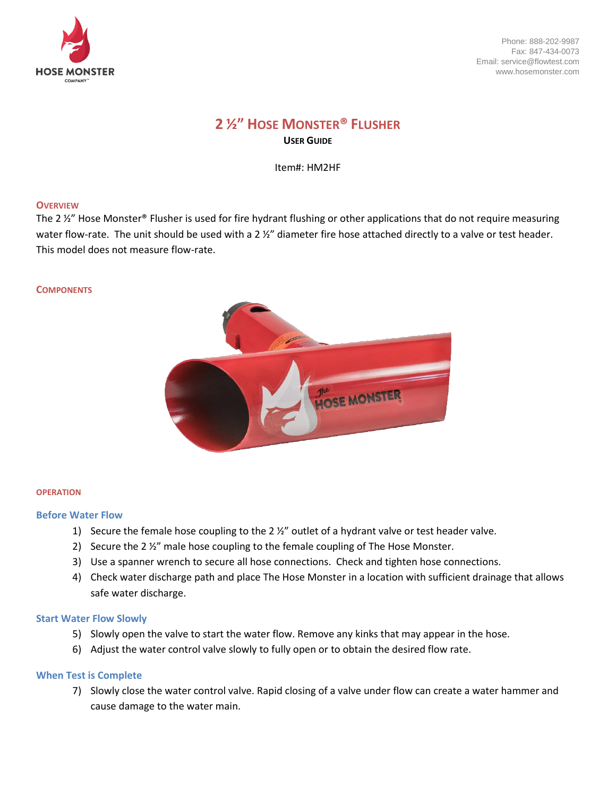

Phone: 888-202-9987 Fax: 847-434-0073 Email: service@flowtest.com www.hosemonster.com

# **2 ½" HOSE MONSTER® FLUSHER USER GUIDE**

Item#: HM2HF

### **OVERVIEW**

The 2  $\frac{y}{z}$ " Hose Monster® Flusher is used for fire hydrant flushing or other applications that do not require measuring water flow-rate. The unit should be used with a 2 %" diameter fire hose attached directly to a valve or test header. This model does not measure flow-rate.

#### **COMPONENTS**



#### **OPERATION**

#### **Before Water Flow**

- 1) Secure the female hose coupling to the 2 ½" outlet of a hydrant valve or test header valve.
- 2) Secure the 2 ½" male hose coupling to the female coupling of The Hose Monster.
- 3) Use a spanner wrench to secure all hose connections. Check and tighten hose connections.
- 4) Check water discharge path and place The Hose Monster in a location with sufficient drainage that allows safe water discharge.

#### **Start Water Flow Slowly**

- 5) Slowly open the valve to start the water flow. Remove any kinks that may appear in the hose.
- 6) Adjust the water control valve slowly to fully open or to obtain the desired flow rate.

# **When Test is Complete**

7) Slowly close the water control valve. Rapid closing of a valve under flow can create a water hammer and cause damage to the water main.